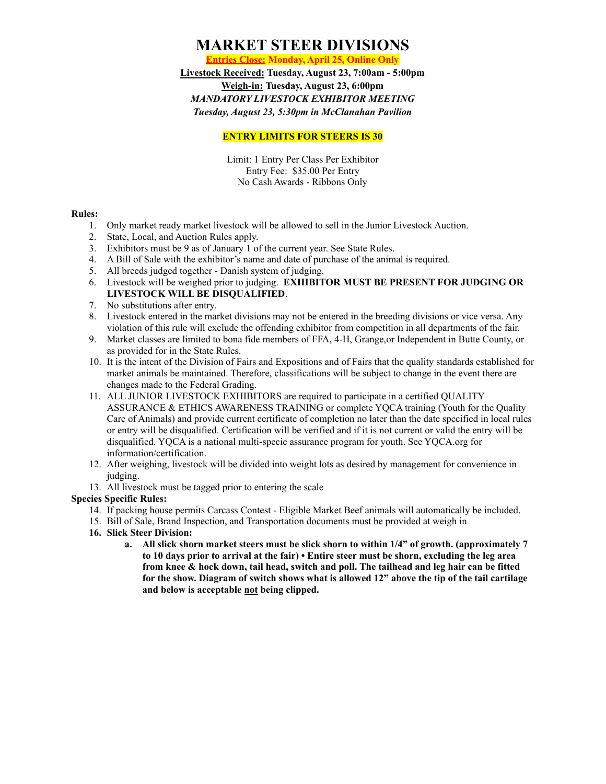## **MARKET STEER DIVISIONS**

**Entries Close: Monday, April 25, Online Only**

**Livestock Received: Tuesday, August 23, 7:00am - 5:00pm Weigh-in: Tuesday, August 23, 6:00pm** *MANDATORY LIVESTOCK EXHIBITOR MEETING Tuesday, August 23, 5:30pm in McClanahan Pavilion*

### **ENTRY LIMITS FOR STEERS IS 30**

Limit: 1 Entry Per Class Per Exhibitor Entry Fee: \$35.00 Per Entry No Cash Awards - Ribbons Only

#### **Rules:**

- 1. Only market ready market livestock will be allowed to sell in the Junior Livestock Auction.
- 2. State, Local, and Auction Rules apply.
- 3. Exhibitors must be 9 as of January 1 of the current year. See State Rules.
- 4. A Bill of Sale with the exhibitor's name and date of purchase of the animal is required.
- 5. All breeds judged together Danish system of judging.
- 6. Livestock will be weighed prior to judging. **EXHIBITOR MUST BE PRESENT FOR JUDGING OR LIVESTOCK WILL BE DISQUALIFIED**.
- 7. No substitutions after entry.
- 8. Livestock entered in the market divisions may not be entered in the breeding divisions or vice versa. Any violation of this rule will exclude the offending exhibitor from competition in all departments of the fair.
- 9. Market classes are limited to bona fide members of FFA, 4-H, Grange,or Independent in Butte County, or as provided for in the State Rules.
- 10. It is the intent of the Division of Fairs and Expositions and of Fairs that the quality standards established for market animals be maintained. Therefore, classifications will be subject to change in the event there are changes made to the Federal Grading.
- 11. ALL JUNIOR LIVESTOCK EXHIBITORS are required to participate in a certified QUALITY ASSURANCE & ETHICS AWARENESS TRAINING or complete YQCA training (Youth for the Quality Care of Animals) and provide current certificate of completion no later than the date specified in local rules or entry will be disqualified. Certification will be verified and if it is not current or valid the entry will be disqualified. YQCA is a national multi-specie assurance program for youth. See YQCA.org for information/certification.
- 12. After weighing, livestock will be divided into weight lots as desired by management for convenience in judging.
- 13. All livestock must be tagged prior to entering the scale

### **Species Specific Rules:**

- 14. If packing house permits Carcass Contest Eligible Market Beef animals will automatically be included.
- 15. Bill of Sale, Brand Inspection, and Transportation documents must be provided at weigh in
- **16. Slick Steer Division:**
	- **a. All slick shorn market steers must be slick shorn to within 1/4" of growth. (approximately 7** to 10 days prior to arrival at the fair) • Entire steer must be shorn, excluding the leg area **from knee & hock down, tail head, switch and poll. The tailhead and leg hair can be fitted for the show. Diagram of switch shows what is allowed 12" above the tip of the tail cartilage and below is acceptable not being clipped.**